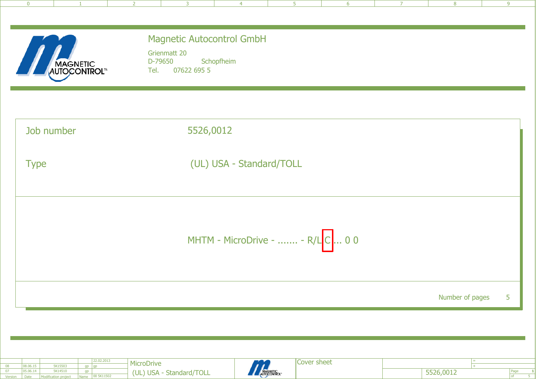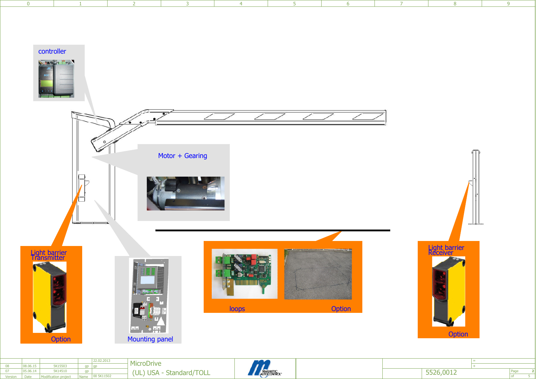

| <b>PICODIVE</b><br>$\prime\prime$<br>08.06.15<br>5K15503<br>MAGNETIC<br>AUTOCONTROL"<br>05.06.14<br>5K14510<br>5526,0012<br>(UL)<br>ATTOT<br><b>USA</b><br>~-<br>Standard/<br>I ULL<br>00 5K11502<br>Date<br>Name<br><b>MOdification provide</b> |  |  |  |  |  |  |  |  |
|--------------------------------------------------------------------------------------------------------------------------------------------------------------------------------------------------------------------------------------------------|--|--|--|--|--|--|--|--|
|                                                                                                                                                                                                                                                  |  |  |  |  |  |  |  |  |
|                                                                                                                                                                                                                                                  |  |  |  |  |  |  |  |  |
|                                                                                                                                                                                                                                                  |  |  |  |  |  |  |  |  |

Version

Page

 $\frac{2}{5}$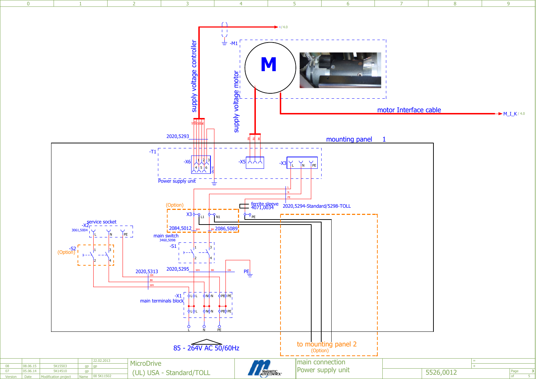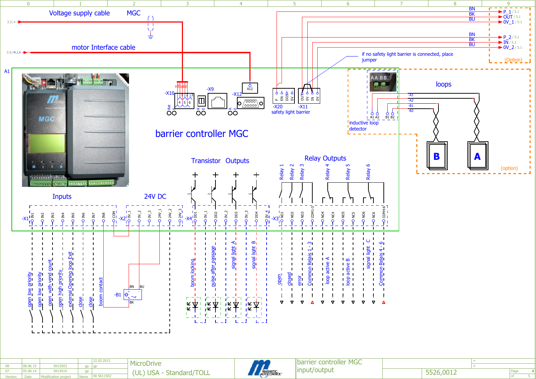

| input/output<br>$0 - 0 - 1$<br>5K14510<br>5526,0012<br>AUTOCONTROL<br>'/TOLL<br>(UL<br><b>USA</b><br>- Standard/<br>05.06.1<br>00 5K11502<br>Modification projec<br>Date<br>Name<br>version | 08.06.15 | 5K15503 | lan Lan | <b>TICLOPTIVE</b> |  |  |
|---------------------------------------------------------------------------------------------------------------------------------------------------------------------------------------------|----------|---------|---------|-------------------|--|--|
|                                                                                                                                                                                             |          |         |         |                   |  |  |
|                                                                                                                                                                                             |          |         |         |                   |  |  |



Page

5 **4**